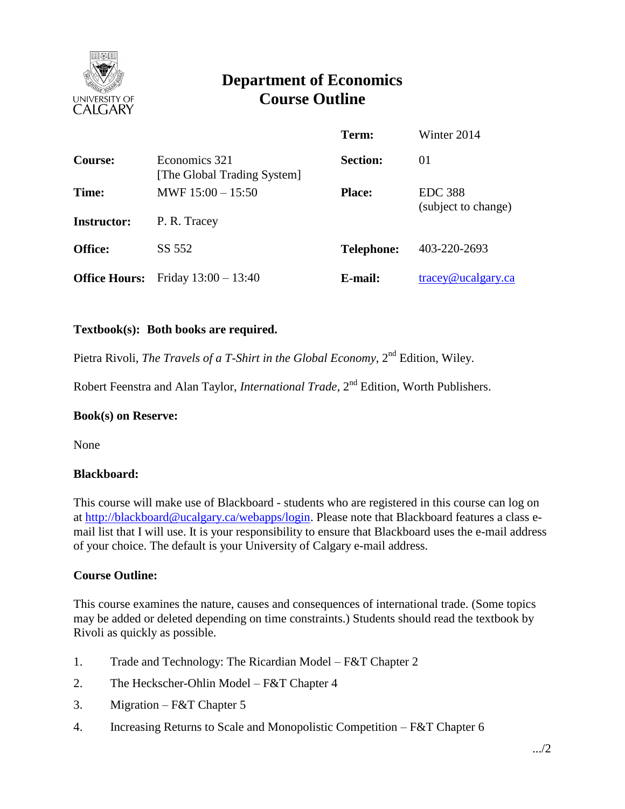

# **Department of Economics Course Outline**

|                      |                                              | Term:             | Winter 2014         |
|----------------------|----------------------------------------------|-------------------|---------------------|
| <b>Course:</b>       | Economics 321<br>[The Global Trading System] | <b>Section:</b>   | 01                  |
| Time:                | MWF $15:00 - 15:50$                          | <b>Place:</b>     | <b>EDC 388</b>      |
| <b>Instructor:</b>   | P. R. Tracey                                 |                   | (subject to change) |
| <b>Office:</b>       | SS 552                                       | <b>Telephone:</b> | 403-220-2693        |
| <b>Office Hours:</b> | Friday $13:00 - 13:40$                       | E-mail:           | tracey@ucalgary.ca  |

# **Textbook(s): Both books are required.**

Pietra Rivoli, *The Travels of a T-Shirt in the Global Economy*, 2<sup>nd</sup> Edition, Wiley.

Robert Feenstra and Alan Taylor, *International Trade*, 2<sup>nd</sup> Edition, Worth Publishers.

# **Book(s) on Reserve:**

None

# **Blackboard:**

This course will make use of Blackboard - students who are registered in this course can log on at [http://blackboard@ucalgary.ca/webapps/login.](http://blackboard@ucalgary.ca/webapps/login) Please note that Blackboard features a class email list that I will use. It is your responsibility to ensure that Blackboard uses the e-mail address of your choice. The default is your University of Calgary e-mail address.

# **Course Outline:**

This course examines the nature, causes and consequences of international trade. (Some topics may be added or deleted depending on time constraints.) Students should read the textbook by Rivoli as quickly as possible.

- 1. Trade and Technology: The Ricardian Model F&T Chapter 2
- 2. The Heckscher-Ohlin Model F&T Chapter 4
- 3. Migration F&T Chapter 5
- 4. Increasing Returns to Scale and Monopolistic Competition F&T Chapter 6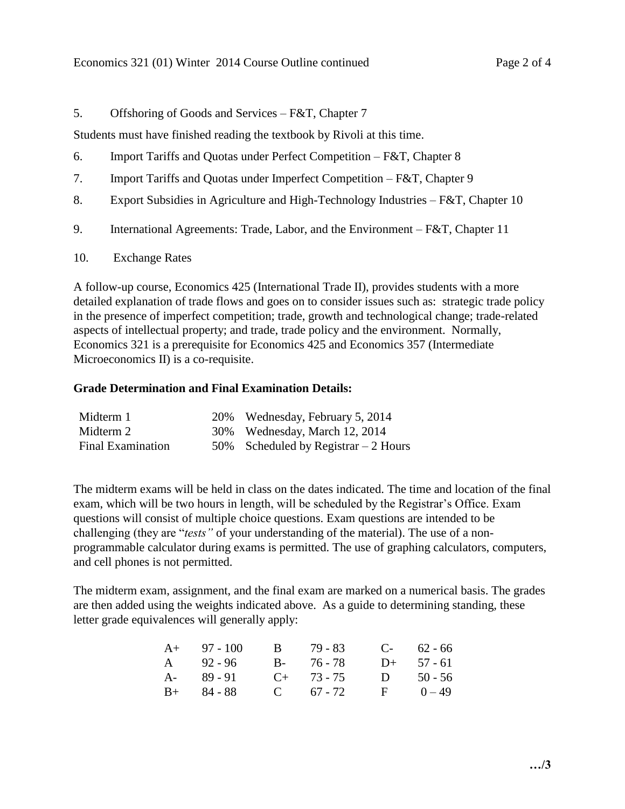# 5. Offshoring of Goods and Services – F&T, Chapter 7

Students must have finished reading the textbook by Rivoli at this time.

- 6. Import Tariffs and Quotas under Perfect Competition F&T, Chapter 8
- 7. Import Tariffs and Quotas under Imperfect Competition F&T, Chapter 9
- 8. Export Subsidies in Agriculture and High-Technology Industries F&T, Chapter 10
- 9. International Agreements: Trade, Labor, and the Environment F&T, Chapter 11
- 10. Exchange Rates

A follow-up course, Economics 425 (International Trade II), provides students with a more detailed explanation of trade flows and goes on to consider issues such as: strategic trade policy in the presence of imperfect competition; trade, growth and technological change; trade-related aspects of intellectual property; and trade, trade policy and the environment. Normally, Economics 321 is a prerequisite for Economics 425 and Economics 357 (Intermediate Microeconomics II) is a co-requisite.

#### **Grade Determination and Final Examination Details:**

| Midterm 1                | 20% | Wednesday, February 5, 2014           |
|--------------------------|-----|---------------------------------------|
| Midterm 2                |     | 30% Wednesday, March 12, 2014         |
| <b>Final Examination</b> |     | 50% Scheduled by Registrar $-2$ Hours |

The midterm exams will be held in class on the dates indicated. The time and location of the final exam, which will be two hours in length, will be scheduled by the Registrar's Office. Exam questions will consist of multiple choice questions. Exam questions are intended to be challenging (they are "*tests"* of your understanding of the material). The use of a nonprogrammable calculator during exams is permitted. The use of graphing calculators, computers, and cell phones is not permitted.

The midterm exam, assignment, and the final exam are marked on a numerical basis. The grades are then added using the weights indicated above. As a guide to determining standing, these letter grade equivalences will generally apply:

| $A+ 97 - 100$ | B 79 - 83       | $C-$ 62 - 66 |
|---------------|-----------------|--------------|
| $A = 92 - 96$ | B- 76-78        | $D+ 57 - 61$ |
| $A - 89 - 91$ | $C_{+}$ 73 - 75 | D $50 - 56$  |
| $B+ 84 - 88$  | C $67 - 72$     | $F = 0 - 49$ |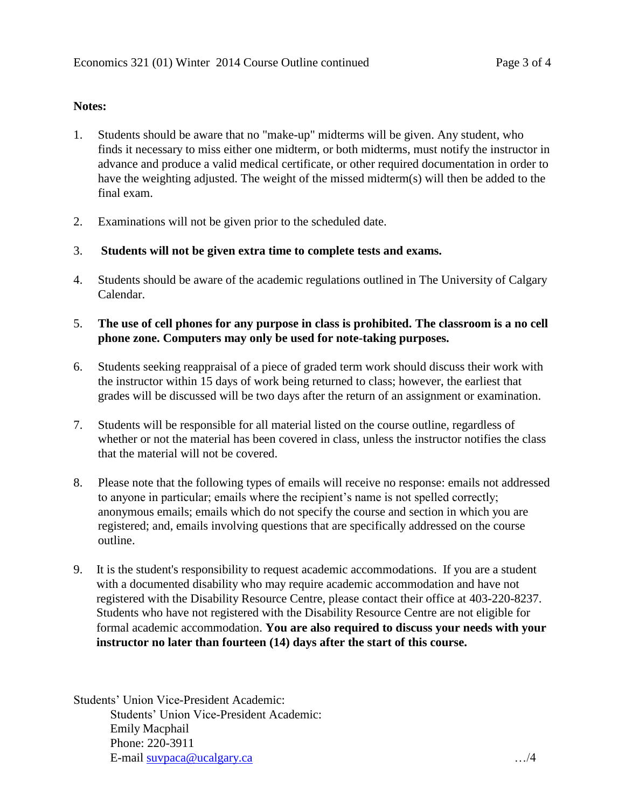# **Notes:**

- 1. Students should be aware that no "make-up" midterms will be given. Any student, who finds it necessary to miss either one midterm, or both midterms, must notify the instructor in advance and produce a valid medical certificate, or other required documentation in order to have the weighting adjusted. The weight of the missed midterm(s) will then be added to the final exam.
- 2. Examinations will not be given prior to the scheduled date.
- 3. **Students will not be given extra time to complete tests and exams.**
- 4. Students should be aware of the academic regulations outlined in The University of Calgary Calendar.

# 5. **The use of cell phones for any purpose in class is prohibited. The classroom is a no cell phone zone. Computers may only be used for note-taking purposes.**

- 6. Students seeking reappraisal of a piece of graded term work should discuss their work with the instructor within 15 days of work being returned to class; however, the earliest that grades will be discussed will be two days after the return of an assignment or examination.
- 7. Students will be responsible for all material listed on the course outline, regardless of whether or not the material has been covered in class, unless the instructor notifies the class that the material will not be covered.
- 8. Please note that the following types of emails will receive no response: emails not addressed to anyone in particular; emails where the recipient's name is not spelled correctly; anonymous emails; emails which do not specify the course and section in which you are registered; and, emails involving questions that are specifically addressed on the course outline.
- 9. It is the student's responsibility to request academic accommodations. If you are a student with a documented disability who may require academic accommodation and have not registered with the Disability Resource Centre, please contact their office at 403-220-8237. Students who have not registered with the Disability Resource Centre are not eligible for formal academic accommodation. **You are also required to discuss your needs with your instructor no later than fourteen (14) days after the start of this course.**

Students' Union Vice-President Academic: Students' Union Vice-President Academic: Emily Macphail Phone: 220-3911 E-mail [suvpaca@ucalgary.ca](mailto:subpaca@ucalgary.ca) …/4